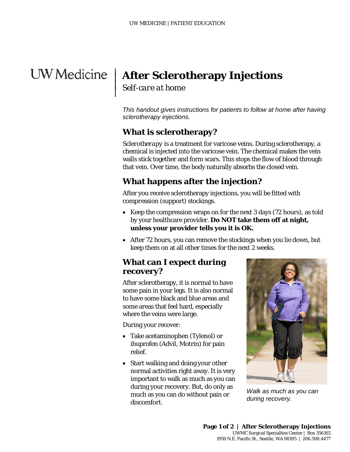# **After Sclerotherapy Injections** |

*Self-care at home*

| |  $\mathbf{I}$ 

> *This handout gives instructions for patients to follow at home after having sclerotherapy injections.*

## **What is sclerotherapy?**

walls stick together and form scars. This stops the flow of blood thro<br>that vein. Over time, the body naturally absorbs the closed vein.<br>**What happens after the injection?**<br>After you receive sclerotherapy injections, you w *Sclerotherapy* is a treatment for varicose veins. During sclerotherapy, a chemical is injected into the varicose vein. The chemical makes the vein walls stick together and form scars. This stops the flow of blood through that vein. Over time, the body naturally absorbs the closed vein.

### **What happens after the injection?**

After you receive sclerotherapy injections, you will be fitted with *compression* (support) stockings.

- Keep the compression wraps on for the next 3 days (72 hours), as told by your healthcare provider. **Do NOT take them off at night, unless your provider tells you it is OK.**
- After 72 hours, you can remove the stockings when you lie down, but keep them on at all other times for the next 2 weeks.

#### **What can I expect during recovery?**

After sclerotherapy, it is normal to have some pain in your legs. It is also normal to have some black and blue areas and some areas that feel hard, especially where the veins were large.

During your recover:

- Take acetaminophen (Tylenol) or ibuprofen (Advil, Motrin) for pain relief.
- Start walking and doing your other normal activities right away. It is very important to walk as much as you can during your recovery. But, do only as much as you can do without pain or discomfort.

 $\_$  ,  $\_$  ,  $\_$  ,  $\_$  ,  $\_$  ,  $\_$  ,  $\_$  ,  $\_$  ,  $\_$  ,  $\_$  ,  $\_$  ,  $\_$  ,  $\_$  ,  $\_$  ,  $\_$  ,  $\_$  ,  $\_$  ,  $\_$  ,  $\_$  ,  $\_$  ,  $\_$  ,  $\_$  ,  $\_$  ,  $\_$  ,  $\_$  ,  $\_$  ,  $\_$  ,  $\_$  ,  $\_$  ,  $\_$  ,  $\_$  ,  $\_$  ,  $\_$  ,  $\_$  ,  $\_$  ,  $\_$  ,  $\_$  ,



*Walk as much as you can during recovery.*